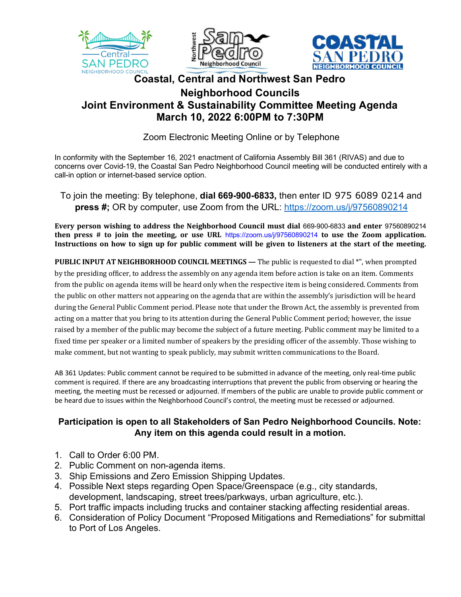





## **Coastal, Central and Northwest San Pedro Neighborhood Councils Joint Environment & Sustainability Committee Meeting Agenda March 10, 2022 6:00PM to 7:30PM**

Zoom Electronic Meeting Online or by Telephone

In conformity with the September 16, 2021 enactment of California Assembly Bill 361 (RIVAS) and due to concerns over Covid-19, the Coastal San Pedro Neighborhood Council meeting will be conducted entirely with a call-in option or internet-based service option.

To join the meeting: By telephone, **dial 669-900-6833,** then enter ID 975 6089 0214 and **press #;** OR by computer, use Zoom from the URL: https://zoom.us/j/97560890214

**Every person wishing to address the Neighborhood Council must dial 669-900-6833 and enter 97560890214 then** press  $\#$  to join the meeting, or use URL https://zoom.us/j/97560890214 to use the Zoom application. Instructions on how to sign up for public comment will be given to listeners at the start of the meeting.

**PUBLIC INPUT AT NEIGHBORHOOD COUNCIL MEETINGS** — The public is requested to dial \*", when prompted by the presiding officer, to address the assembly on any agenda item before action is take on an item. Comments from the public on agenda items will be heard only when the respective item is being considered. Comments from the public on other matters not appearing on the agenda that are within the assembly's jurisdiction will be heard during the General Public Comment period. Please note that under the Brown Act, the assembly is prevented from acting on a matter that you bring to its attention during the General Public Comment period; however, the issue raised by a member of the public may become the subject of a future meeting. Public comment may be limited to a fixed time per speaker or a limited number of speakers by the presiding officer of the assembly. Those wishing to make comment, but not wanting to speak publicly, may submit written communications to the Board.

AB 361 Updates: Public comment cannot be required to be submitted in advance of the meeting, only real-time public comment is required. If there are any broadcasting interruptions that prevent the public from observing or hearing the meeting, the meeting must be recessed or adjourned. If members of the public are unable to provide public comment or be heard due to issues within the Neighborhood Council's control, the meeting must be recessed or adjourned.

## **Participation is open to all Stakeholders of San Pedro Neighborhood Councils. Note: Any item on this agenda could result in a motion.**

- 1. Call to Order 6:00 PM.
- 2. Public Comment on non-agenda items.
- 3. Ship Emissions and Zero Emission Shipping Updates.
- 4. Possible Next steps regarding Open Space/Greenspace (e.g., city standards, development, landscaping, street trees/parkways, urban agriculture, etc.).
- 5. Port traffic impacts including trucks and container stacking affecting residential areas.
- 6. Consideration of Policy Document "Proposed Mitigations and Remediations" for submittal to Port of Los Angeles.